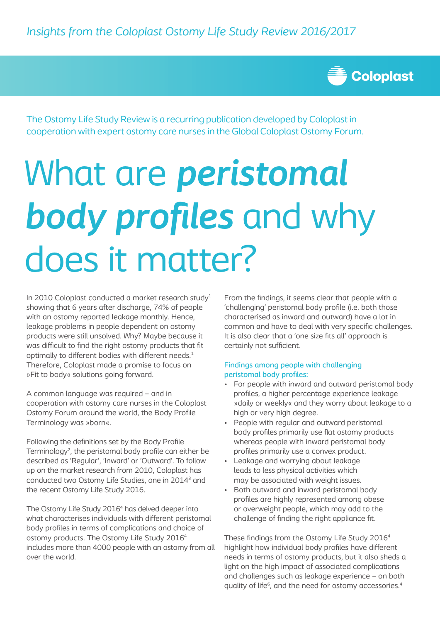

The Ostomy Life Study Review is a recurring publication developed by Coloplast in cooperation with expert ostomy care nurses in the Global Coloplast Ostomy Forum.

# What are *peristomal body profiles* and why does it matter?

In 2010 Coloplast conducted a market research study<sup>1</sup> showing that 6 years after discharge, 74% of people with an ostomy reported leakage monthly. Hence, leakage problems in people dependent on ostomy products were still unsolved. Why? Maybe because it was difficult to find the right ostomy products that fit optimally to different bodies with different needs.<sup>1</sup> Therefore, Coloplast made a promise to focus on »Fit to body« solutions going forward.

A common language was required – and in cooperation with ostomy care nurses in the Coloplast Ostomy Forum around the world, the Body Profile Terminology was »born«.

Following the definitions set by the Body Profile Terminology<sup>2</sup>, the peristomal body profile can either be described as 'Regular', 'Inward' or 'Outward'. To follow up on the market research from 2010, Coloplast has conducted two Ostomy Life Studies, one in 2014<sup>3</sup> and the recent Ostomy Life Study 2016.

The Ostomy Life Study 2016<sup>4</sup> has delved deeper into what characterises individuals with different peristomal body profiles in terms of complications and choice of ostomy products. The Ostomy Life Study 20164 includes more than 4000 people with an ostomy from all over the world.

From the findings, it seems clear that people with a 'challenging' peristomal body profile (i.e. both those characterised as inward and outward) have a lot in common and have to deal with very specific challenges. It is also clear that a 'one size fits all' approach is certainly not sufficient.

## Findings among people with challenging peristomal body profiles:

- For people with inward and outward peristomal body profiles, a higher percentage experience leakage »daily or weekly« and they worry about leakage to a high or very high degree.
- People with regular and outward peristomal body profiles primarily use flat ostomy products whereas people with inward peristomal body profiles primarily use a convex product.
- Leakage and worrying about leakage leads to less physical activities which may be associated with weight issues.
- Both outward and inward peristomal body profiles are highly represented among obese or overweight people, which may add to the challenge of finding the right appliance fit.

These findings from the Ostomy Life Study 2016<sup>4</sup> highlight how individual body profiles have different needs in terms of ostomy products, but it also sheds a light on the high impact of associated complications and challenges such as leakage experience – on both quality of life<sup>6</sup>, and the need for ostomy accessories.<sup>4</sup>